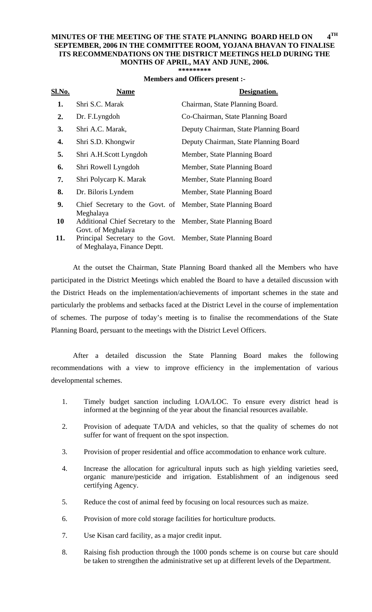## **MINUTES OF THE MEETING OF THE STATE PLANNING BOARD HELD ON 4TH SEPTEMBER, 2006 IN THE COMMITTEE ROOM, YOJANA BHAVAN TO FINALISE ITS RECOMMENDATIONS ON THE DISTRICT MEETINGS HELD DURING THE MONTHS OF APRIL, MAY AND JUNE, 2006.**

|  |  |  | ********* |  |
|--|--|--|-----------|--|
|  |  |  |           |  |

| <b>Members and Officers present :-</b> |  |  |
|----------------------------------------|--|--|
|----------------------------------------|--|--|

| Sl.No. | <b>Name</b>                                                                                   | Designation.                          |
|--------|-----------------------------------------------------------------------------------------------|---------------------------------------|
| 1.     | Shri S.C. Marak                                                                               | Chairman, State Planning Board.       |
| 2.     | Dr. F.Lyngdoh                                                                                 | Co-Chairman, State Planning Board     |
| 3.     | Shri A.C. Marak,                                                                              | Deputy Chairman, State Planning Board |
| 4.     | Shri S.D. Khongwir                                                                            | Deputy Chairman, State Planning Board |
| 5.     | Shri A.H.Scott Lyngdoh                                                                        | Member, State Planning Board          |
| 6.     | Shri Rowell Lyngdoh                                                                           | Member, State Planning Board          |
| 7.     | Shri Polycarp K. Marak                                                                        | Member, State Planning Board          |
| 8.     | Dr. Biloris Lyndem                                                                            | Member, State Planning Board          |
| 9.     | Chief Secretary to the Govt. of Member, State Planning Board<br>Meghalaya                     |                                       |
| 10     | Additional Chief Secretary to the Member, State Planning Board<br>Govt. of Meghalaya          |                                       |
| 11.    | Principal Secretary to the Govt. Member, State Planning Board<br>of Meghalaya, Finance Deptt. |                                       |

At the outset the Chairman, State Planning Board thanked all the Members who have participated in the District Meetings which enabled the Board to have a detailed discussion with the District Heads on the implementation/achievements of important schemes in the state and particularly the problems and setbacks faced at the District Level in the course of implementation of schemes. The purpose of today's meeting is to finalise the recommendations of the State Planning Board, persuant to the meetings with the District Level Officers.

 After a detailed discussion the State Planning Board makes the following recommendations with a view to improve efficiency in the implementation of various developmental schemes.

- 1. Timely budget sanction including LOA/LOC. To ensure every district head is informed at the beginning of the year about the financial resources available.
- 2. Provision of adequate TA/DA and vehicles, so that the quality of schemes do not suffer for want of frequent on the spot inspection.
- 3. Provision of proper residential and office accommodation to enhance work culture.
- 4. Increase the allocation for agricultural inputs such as high yielding varieties seed, organic manure/pesticide and irrigation. Establishment of an indigenous seed certifying Agency.
- 5. Reduce the cost of animal feed by focusing on local resources such as maize.
- 6. Provision of more cold storage facilities for horticulture products.
- 7. Use Kisan card facility, as a major credit input.
- 8. Raising fish production through the 1000 ponds scheme is on course but care should be taken to strengthen the administrative set up at different levels of the Department.